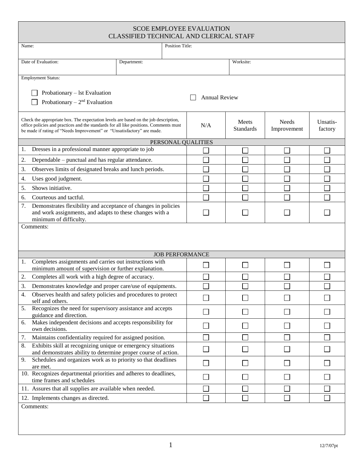| <b>SCOE EMPLOYEE EVALUATION</b><br>CLASSIFIED TECHNICAL AND CLERICAL STAFF                                                                                                                                                                             |                        |          |                           |                             |                     |
|--------------------------------------------------------------------------------------------------------------------------------------------------------------------------------------------------------------------------------------------------------|------------------------|----------|---------------------------|-----------------------------|---------------------|
| <b>Position Title:</b><br>Name:                                                                                                                                                                                                                        |                        |          |                           |                             |                     |
| Date of Evaluation:                                                                                                                                                                                                                                    | Department:            |          | Worksite:                 |                             |                     |
| <b>Employment Status:</b><br>Probationary – 1st Evaluation<br><b>Annual Review</b><br>Probationary $-2nd$ Evaluation                                                                                                                                   |                        |          |                           |                             |                     |
| Check the appropriate box. The expectation levels are based on the job description,<br>office policies and practices and the standards for all like positions. Comments must<br>be made if rating of "Needs Improvement" or "Unsatisfactory" are made. |                        | N/A      | Meets<br><b>Standards</b> | <b>Needs</b><br>Improvement | Unsatis-<br>factory |
|                                                                                                                                                                                                                                                        | PERSONAL QUALITIES     |          |                           |                             |                     |
| Dresses in a professional manner appropriate to job<br>1.                                                                                                                                                                                              |                        |          |                           |                             |                     |
| Dependable – punctual and has regular attendance.<br>2.                                                                                                                                                                                                |                        |          |                           |                             |                     |
| Observes limits of designated breaks and lunch periods.<br>3.                                                                                                                                                                                          |                        |          |                           |                             |                     |
| Uses good judgment.<br>4.                                                                                                                                                                                                                              |                        |          |                           |                             |                     |
| Shows initiative.<br>5.                                                                                                                                                                                                                                |                        |          |                           |                             |                     |
| Courteous and tactful.<br>6.                                                                                                                                                                                                                           |                        |          |                           |                             |                     |
| Demonstrates flexibility and acceptance of changes in policies<br>7.<br>and work assignments, and adapts to these changes with a<br>minimum of difficulty.                                                                                             |                        |          |                           |                             |                     |
| Comments:                                                                                                                                                                                                                                              |                        |          |                           |                             |                     |
| Completes assignments and carries out instructions with                                                                                                                                                                                                | <b>JOB PERFORMANCE</b> |          |                           |                             |                     |
| 1.<br>minimum amount of supervision or further explanation.                                                                                                                                                                                            |                        |          |                           |                             |                     |
| Completes all work with a high degree of accuracy.<br>2.                                                                                                                                                                                               |                        |          |                           |                             |                     |
| Demonstrates knowledge and proper care/use of equipments.<br>3.                                                                                                                                                                                        |                        |          |                           |                             |                     |
| Observes health and safety policies and procedures to protect<br>4.<br>self and others.                                                                                                                                                                |                        |          |                           |                             |                     |
| Recognizes the need for supervisory assistance and accepts<br>5.<br>guidance and direction.                                                                                                                                                            |                        |          |                           |                             |                     |
| Makes independent decisions and accepts responsibility for<br>6.<br>own decisions.                                                                                                                                                                     |                        | $\sim 1$ |                           |                             |                     |
| Maintains confidentiality required for assigned position.<br>7.                                                                                                                                                                                        |                        |          |                           |                             |                     |
| Exhibits skill at recognizing unique or emergency situations<br>8.<br>and demonstrates ability to determine proper course of action.                                                                                                                   |                        |          |                           |                             |                     |
| Schedules and organizes work as to priority so that deadlines<br>9.<br>are met.                                                                                                                                                                        |                        |          |                           |                             |                     |
| 10. Recognizes departmental priorities and adheres to deadlines,<br>time frames and schedules                                                                                                                                                          |                        |          |                           |                             |                     |
| 11. Assures that all supplies are available when needed.                                                                                                                                                                                               |                        |          |                           |                             |                     |
| 12. Implements changes as directed.                                                                                                                                                                                                                    |                        |          | ×.                        |                             |                     |
| Comments:                                                                                                                                                                                                                                              |                        |          |                           |                             |                     |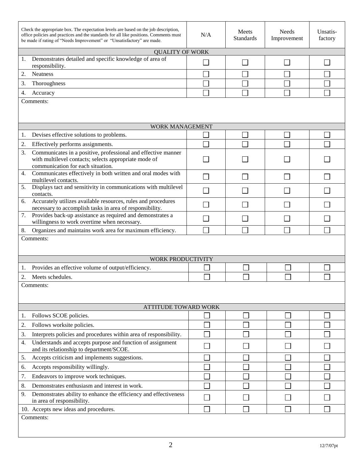| Check the appropriate box. The expectation levels are based on the job description,<br>office policies and practices and the standards for all like positions. Comments must<br>be made if rating of "Needs Improvement" or "Unsatisfactory" are made. | N/A                         | Meets<br><b>Standards</b> | <b>Needs</b><br>Improvement | Unsatis-<br>factory |
|--------------------------------------------------------------------------------------------------------------------------------------------------------------------------------------------------------------------------------------------------------|-----------------------------|---------------------------|-----------------------------|---------------------|
| <b>QUALITY OF WORK</b>                                                                                                                                                                                                                                 |                             |                           |                             |                     |
| Demonstrates detailed and specific knowledge of area of<br>1.<br>responsibility.                                                                                                                                                                       |                             |                           |                             |                     |
| 2.<br><b>Neatness</b>                                                                                                                                                                                                                                  |                             |                           |                             |                     |
| 3.<br>Thoroughness                                                                                                                                                                                                                                     |                             |                           |                             |                     |
| 4.<br>Accuracy                                                                                                                                                                                                                                         |                             |                           |                             |                     |
| Comments:                                                                                                                                                                                                                                              |                             |                           |                             |                     |
| WORK MANAGEMENT                                                                                                                                                                                                                                        |                             |                           |                             |                     |
| Devises effective solutions to problems.<br>1.                                                                                                                                                                                                         |                             |                           |                             |                     |
| 2.<br>Effectively performs assignments.                                                                                                                                                                                                                |                             |                           |                             |                     |
| Communicates in a positive, professional and effective manner<br>3.<br>with multilevel contacts; selects appropriate mode of<br>communication for each situation.                                                                                      |                             |                           |                             |                     |
| Communicates effectively in both written and oral modes with<br>4.<br>multilevel contacts.                                                                                                                                                             |                             |                           |                             |                     |
| Displays tact and sensitivity in communications with multilevel<br>5.<br>contacts.                                                                                                                                                                     | $\mathcal{L}_{\mathcal{A}}$ |                           |                             |                     |
| Accurately utilizes available resources, rules and procedures<br>6.<br>necessary to accomplish tasks in area of responsibility.                                                                                                                        |                             |                           |                             |                     |
| Provides back-up assistance as required and demonstrates a<br>7.<br>willingness to work overtime when necessary.                                                                                                                                       |                             |                           |                             |                     |
| Organizes and maintains work area for maximum efficiency.<br>8.                                                                                                                                                                                        |                             |                           |                             |                     |
| Comments:<br>WORK PRODUCTIVITY                                                                                                                                                                                                                         |                             |                           |                             |                     |
| Provides an effective volume of output/efficiency.<br>1.                                                                                                                                                                                               |                             |                           |                             |                     |
| 2.<br>Meets schedules.                                                                                                                                                                                                                                 |                             |                           |                             |                     |
| Comments:                                                                                                                                                                                                                                              |                             |                           |                             |                     |
| <b>ATTITUDE TOWARD WORK</b>                                                                                                                                                                                                                            |                             |                           |                             |                     |
| Follows SCOE policies.<br>1.                                                                                                                                                                                                                           |                             |                           |                             |                     |
| 2.<br>Follows worksite policies.                                                                                                                                                                                                                       |                             |                           |                             |                     |
| Interprets policies and procedures within area of responsibility.<br>3.                                                                                                                                                                                |                             |                           |                             |                     |
| Understands and accepts purpose and function of assignment<br>4.<br>and its relationship to department/SCOE.                                                                                                                                           |                             |                           |                             |                     |
| Accepts criticism and implements suggestions.<br>5.                                                                                                                                                                                                    |                             |                           |                             |                     |
| Accepts responsibility willingly.<br>6.                                                                                                                                                                                                                |                             |                           |                             |                     |
| Endeavors to improve work techniques.<br>7.                                                                                                                                                                                                            |                             |                           |                             |                     |
| Demonstrates enthusiasm and interest in work.<br>8.                                                                                                                                                                                                    |                             |                           |                             |                     |
| Demonstrates ability to enhance the efficiency and effectiveness<br>9.<br>in area of responsibility.                                                                                                                                                   |                             |                           |                             |                     |
| 10. Accepts new ideas and procedures.                                                                                                                                                                                                                  |                             |                           |                             |                     |
| Comments:                                                                                                                                                                                                                                              |                             |                           |                             |                     |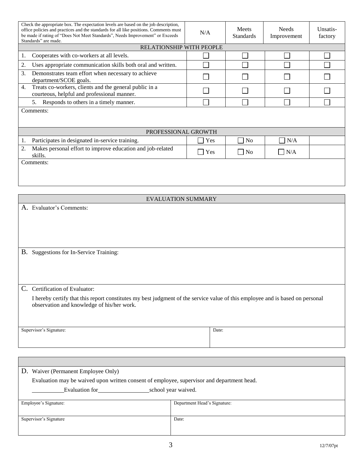| Check the appropriate box. The expectation levels are based on the job description,<br>office policies and practices and the standards for all like positions. Comments must<br>be made if rating of "Does Not Meet Standards", Needs Improvement" or Exceeds<br>Standards" are made. | N/A                      | Meets<br><b>Standards</b> | <b>Needs</b><br>Improvement | Unsatis-<br>factory |
|---------------------------------------------------------------------------------------------------------------------------------------------------------------------------------------------------------------------------------------------------------------------------------------|--------------------------|---------------------------|-----------------------------|---------------------|
|                                                                                                                                                                                                                                                                                       | RELATIONSHIP WITH PEOPLE |                           |                             |                     |
| Cooperates with co-workers at all levels.<br>1.                                                                                                                                                                                                                                       |                          |                           |                             |                     |
| Uses appropriate communication skills both oral and written.<br>2.                                                                                                                                                                                                                    |                          |                           |                             |                     |
| Demonstrates team effort when necessary to achieve<br>3.<br>department/SCOE goals.                                                                                                                                                                                                    |                          |                           |                             |                     |
| Treats co-workers, clients and the general public in a<br>4.<br>courteous, helpful and professional manner.                                                                                                                                                                           |                          |                           |                             |                     |
| 5.<br>Responds to others in a timely manner.                                                                                                                                                                                                                                          |                          |                           |                             |                     |
| Comments:<br>PROFESSIONAL GROWTH                                                                                                                                                                                                                                                      |                          |                           |                             |                     |
| Participates in designated in-service training.<br>1.                                                                                                                                                                                                                                 | Yes                      | N <sub>o</sub>            | N/A                         |                     |
| Makes personal effort to improve education and job-related<br>2.<br>skills.                                                                                                                                                                                                           | Yes                      | $\Box$ No                 | $\Box$ N/A                  |                     |
| <b>EVALUATION SUMMARY</b>                                                                                                                                                                                                                                                             |                          |                           |                             |                     |
| A. Evaluator's Comments:                                                                                                                                                                                                                                                              |                          |                           |                             |                     |
|                                                                                                                                                                                                                                                                                       |                          |                           |                             |                     |
| B. Suggestions for In-Service Training:                                                                                                                                                                                                                                               |                          |                           |                             |                     |
|                                                                                                                                                                                                                                                                                       |                          |                           |                             |                     |
|                                                                                                                                                                                                                                                                                       |                          |                           |                             |                     |
| C. Certification of Evaluator:                                                                                                                                                                                                                                                        |                          |                           |                             |                     |
| I hereby certify that this report constitutes my best judgment of the service value of this employee and is based on personal<br>observation and knowledge of his/her work.                                                                                                           |                          |                           |                             |                     |
| Supervisor's Signature:                                                                                                                                                                                                                                                               | Date:                    |                           |                             |                     |

| D. Waiver (Permanent Employee Only)                                                        |                              |  |  |
|--------------------------------------------------------------------------------------------|------------------------------|--|--|
| Evaluation may be waived upon written consent of employee, supervisor and department head. |                              |  |  |
| Evaluation for                                                                             | school year waived.          |  |  |
|                                                                                            |                              |  |  |
| Employee's Signature:                                                                      | Department Head's Signature: |  |  |
|                                                                                            |                              |  |  |
| Supervisor's Signature                                                                     | Date:                        |  |  |
|                                                                                            |                              |  |  |
|                                                                                            |                              |  |  |